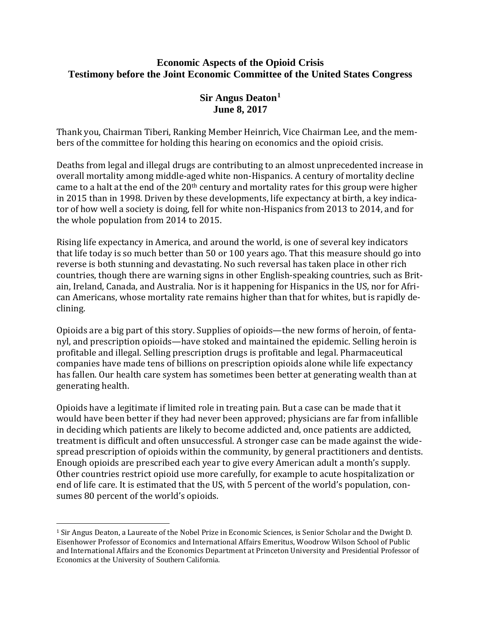## **Economic Aspects of the Opioid Crisis Testimony before the Joint Economic Committee of the United States Congress**

## **Sir Angus Deaton[1](#page-0-0) June 8, 2017**

Thank you, Chairman Tiberi, Ranking Member Heinrich, Vice Chairman Lee, and the members of the committee for holding this hearing on economics and the opioid crisis.

Deaths from legal and illegal drugs are contributing to an almost unprecedented increase in overall mortality among middle-aged white non-Hispanics. A century of mortality decline came to a halt at the end of the 20<sup>th</sup> century and mortality rates for this group were higher in 2015 than in 1998. Driven by these developments, life expectancy at birth, a key indicator of how well a society is doing, fell for white non-Hispanics from 2013 to 2014, and for the whole population from 2014 to 2015.

Rising life expectancy in America, and around the world, is one of several key indicators that life today is so much better than 50 or 100 years ago. That this measure should go into reverse is both stunning and devastating. No such reversal has taken place in other rich countries, though there are warning signs in other English-speaking countries, such as Britain, Ireland, Canada, and Australia. Nor is it happening for Hispanics in the US, nor for African Americans, whose mortality rate remains higher than that for whites, but is rapidly declining.

Opioids are a big part of this story. Supplies of opioids—the new forms of heroin, of fentanyl, and prescription opioids—have stoked and maintained the epidemic. Selling heroin is profitable and illegal. Selling prescription drugs is profitable and legal. Pharmaceutical companies have made tens of billions on prescription opioids alone while life expectancy has fallen. Our health care system has sometimes been better at generating wealth than at generating health.

Opioids have a legitimate if limited role in treating pain. But a case can be made that it would have been better if they had never been approved; physicians are far from infallible in deciding which patients are likely to become addicted and, once patients are addicted, treatment is difficult and often unsuccessful. A stronger case can be made against the widespread prescription of opioids within the community, by general practitioners and dentists. Enough opioids are prescribed each year to give every American adult a month's supply. Other countries restrict opioid use more carefully, for example to acute hospitalization or end of life care. It is estimated that the US, with 5 percent of the world's population, consumes 80 percent of the world's opioids.

<span id="page-0-0"></span> <sup>1</sup> Sir Angus Deaton, a Laureate of the Nobel Prize in Economic Sciences, is Senior Scholar and the Dwight D. Eisenhower Professor of Economics and International Affairs Emeritus, Woodrow Wilson School of Public and International Affairs and the Economics Department at Princeton University and Presidential Professor of Economics at the University of Southern California.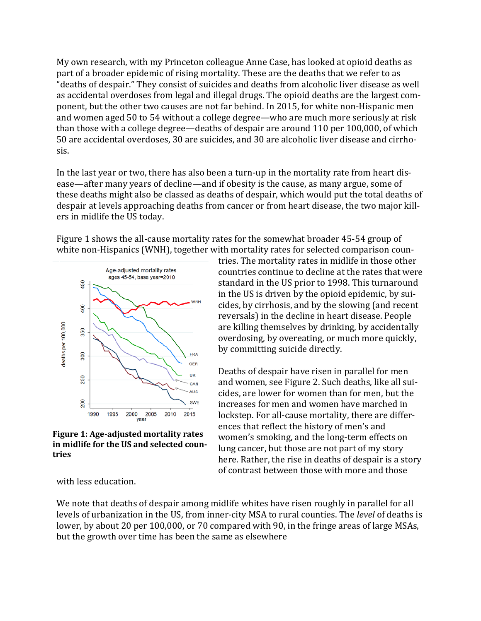My own research, with my Princeton colleague Anne Case, has looked at opioid deaths as part of a broader epidemic of rising mortality. These are the deaths that we refer to as "deaths of despair." They consist of suicides and deaths from alcoholic liver disease as well as accidental overdoses from legal and illegal drugs. The opioid deaths are the largest component, but the other two causes are not far behind. In 2015, for white non-Hispanic men and women aged 50 to 54 without a college degree—who are much more seriously at risk than those with a college degree—deaths of despair are around 110 per 100,000, of which 50 are accidental overdoses, 30 are suicides, and 30 are alcoholic liver disease and cirrhosis.

In the last year or two, there has also been a turn-up in the mortality rate from heart disease—after many years of decline—and if obesity is the cause, as many argue, some of these deaths might also be classed as deaths of despair, which would put the total deaths of despair at levels approaching deaths from cancer or from heart disease, the two major killers in midlife the US today.

Figure 1 shows the all-cause mortality rates for the somewhat broader 45-54 group of white non-Hispanics (WNH), together with mortality rates for selected comparison coun-



**Figure 1: Age-adjusted mortality rates in midlife for the US and selected countries**

tries. The mortality rates in midlife in those other countries continue to decline at the rates that were standard in the US prior to 1998. This turnaround in the US is driven by the opioid epidemic, by suicides, by cirrhosis, and by the slowing (and recent reversals) in the decline in heart disease. People are killing themselves by drinking, by accidentally overdosing, by overeating, or much more quickly, by committing suicide directly.

Deaths of despair have risen in parallel for men and women, see Figure 2. Such deaths, like all suicides, are lower for women than for men, but the increases for men and women have marched in lockstep. For all-cause mortality, there are differences that reflect the history of men's and women's smoking, and the long-term effects on lung cancer, but those are not part of my story here. Rather, the rise in deaths of despair is a story of contrast between those with more and those

with less education.

We note that deaths of despair among midlife whites have risen roughly in parallel for all levels of urbanization in the US, from inner-city MSA to rural counties. The *level* of deaths is lower, by about 20 per 100,000, or 70 compared with 90, in the fringe areas of large MSAs, but the growth over time has been the same as elsewhere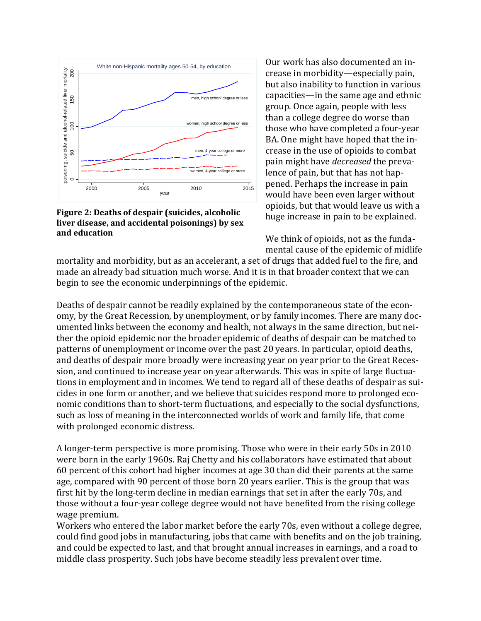

**Figure 2: Deaths of despair (suicides, alcoholic liver disease, and accidental poisonings) by sex and education**

Our work has also documented an increase in morbidity—especially pain, but also inability to function in various capacities—in the same age and ethnic group. Once again, people with less than a college degree do worse than those who have completed a four-year BA. One might have hoped that the increase in the use of opioids to combat pain might have *decreased* the prevalence of pain, but that has not happened. Perhaps the increase in pain would have been even larger without opioids, but that would leave us with a huge increase in pain to be explained.

We think of opioids, not as the fundamental cause of the epidemic of midlife

mortality and morbidity, but as an accelerant, a set of drugs that added fuel to the fire, and made an already bad situation much worse. And it is in that broader context that we can begin to see the economic underpinnings of the epidemic.

Deaths of despair cannot be readily explained by the contemporaneous state of the economy, by the Great Recession, by unemployment, or by family incomes. There are many documented links between the economy and health, not always in the same direction, but neither the opioid epidemic nor the broader epidemic of deaths of despair can be matched to patterns of unemployment or income over the past 20 years. In particular, opioid deaths, and deaths of despair more broadly were increasing year on year prior to the Great Recession, and continued to increase year on year afterwards. This was in spite of large fluctuations in employment and in incomes. We tend to regard all of these deaths of despair as suicides in one form or another, and we believe that suicides respond more to prolonged economic conditions than to short-term fluctuations, and especially to the social dysfunctions, such as loss of meaning in the interconnected worlds of work and family life, that come with prolonged economic distress.

A longer-term perspective is more promising. Those who were in their early 50s in 2010 were born in the early 1960s. Raj Chetty and his collaborators have estimated that about 60 percent of this cohort had higher incomes at age 30 than did their parents at the same age, compared with 90 percent of those born 20 years earlier. This is the group that was first hit by the long-term decline in median earnings that set in after the early 70s, and those without a four-year college degree would not have benefited from the rising college wage premium.

Workers who entered the labor market before the early 70s, even without a college degree, could find good jobs in manufacturing, jobs that came with benefits and on the job training, and could be expected to last, and that brought annual increases in earnings, and a road to middle class prosperity. Such jobs have become steadily less prevalent over time.